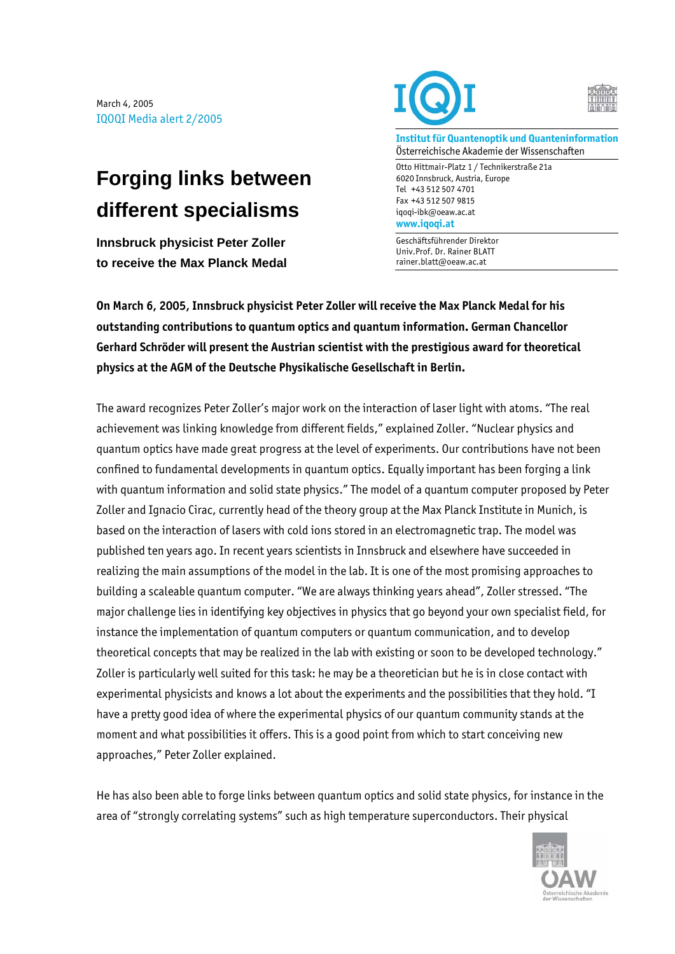March 4, 2005 IQOQI Media alert 2/2005

## **Forging links between different specialisms**

**Innsbruck physicist Peter Zoller to receive the Max Planck Medal** 





**Institut für Quantenoptik und Quanteninformation**  Österreichische Akademie der Wissenschaften

Otto Hittmair-Platz 1 / Technikerstraße 21a 6020 Innsbruck, Austria, Europe Tel +43 512 507 4701 Fax +43 512 507 9815 iqoqi-ibk@oeaw.ac.at **www.iqoqi.at** 

Geschäftsführender Direktor Univ.Prof. Dr. Rainer BLATT rainer.blatt@oeaw.ac.at

**On March 6, 2005, Innsbruck physicist Peter Zoller will receive the Max Planck Medal for his outstanding contributions to quantum optics and quantum information. German Chancellor Gerhard Schröder will present the Austrian scientist with the prestigious award for theoretical physics at the AGM of the Deutsche Physikalische Gesellschaft in Berlin.** 

The award recognizes Peter Zoller's major work on the interaction of laser light with atoms. "The real achievement was linking knowledge from different fields," explained Zoller. "Nuclear physics and quantum optics have made great progress at the level of experiments. Our contributions have not been confined to fundamental developments in quantum optics. Equally important has been forging a link with quantum information and solid state physics." The model of a quantum computer proposed by Peter Zoller and Ignacio Cirac, currently head of the theory group at the Max Planck Institute in Munich, is based on the interaction of lasers with cold ions stored in an electromagnetic trap. The model was published ten years ago. In recent years scientists in Innsbruck and elsewhere have succeeded in realizing the main assumptions of the model in the lab. It is one of the most promising approaches to building a scaleable quantum computer. "We are always thinking years ahead", Zoller stressed. "The major challenge lies in identifying key objectives in physics that go beyond your own specialist field, for instance the implementation of quantum computers or quantum communication, and to develop theoretical concepts that may be realized in the lab with existing or soon to be developed technology." Zoller is particularly well suited for this task: he may be a theoretician but he is in close contact with experimental physicists and knows a lot about the experiments and the possibilities that they hold. "I have a pretty good idea of where the experimental physics of our quantum community stands at the moment and what possibilities it offers. This is a good point from which to start conceiving new approaches," Peter Zoller explained.

He has also been able to forge links between quantum optics and solid state physics, for instance in the area of "strongly correlating systems" such as high temperature superconductors. Their physical

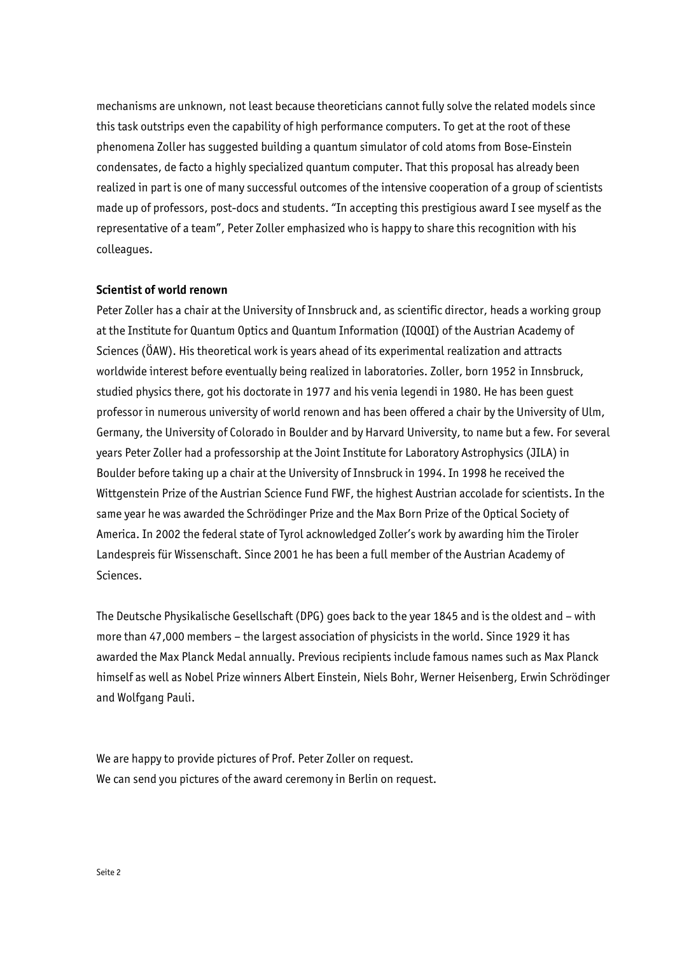mechanisms are unknown, not least because theoreticians cannot fully solve the related models since this task outstrips even the capability of high performance computers. To get at the root of these phenomena Zoller has suggested building a quantum simulator of cold atoms from Bose-Einstein condensates, de facto a highly specialized quantum computer. That this proposal has already been realized in part is one of many successful outcomes of the intensive cooperation of a group of scientists made up of professors, post-docs and students. "In accepting this prestigious award I see myself as the representative of a team", Peter Zoller emphasized who is happy to share this recognition with his colleagues.

## **Scientist of world renown**

Peter Zoller has a chair at the University of Innsbruck and, as scientific director, heads a working group at the Institute for Quantum Optics and Quantum Information (IQOQI) of the Austrian Academy of Sciences (ÖAW). His theoretical work is years ahead of its experimental realization and attracts worldwide interest before eventually being realized in laboratories. Zoller, born 1952 in Innsbruck, studied physics there, got his doctorate in 1977 and his venia legendi in 1980. He has been guest professor in numerous university of world renown and has been offered a chair by the University of Ulm, Germany, the University of Colorado in Boulder and by Harvard University, to name but a few. For several years Peter Zoller had a professorship at the Joint Institute for Laboratory Astrophysics (JILA) in Boulder before taking up a chair at the University of Innsbruck in 1994. In 1998 he received the Wittgenstein Prize of the Austrian Science Fund FWF, the highest Austrian accolade for scientists. In the same year he was awarded the Schrödinger Prize and the Max Born Prize of the Optical Society of America. In 2002 the federal state of Tyrol acknowledged Zoller's work by awarding him the Tiroler Landespreis für Wissenschaft. Since 2001 he has been a full member of the Austrian Academy of Sciences.

The Deutsche Physikalische Gesellschaft (DPG) goes back to the year 1845 and is the oldest and – with more than 47,000 members – the largest association of physicists in the world. Since 1929 it has awarded the Max Planck Medal annually. Previous recipients include famous names such as Max Planck himself as well as Nobel Prize winners Albert Einstein, Niels Bohr, Werner Heisenberg, Erwin Schrödinger and Wolfgang Pauli.

We are happy to provide pictures of Prof. Peter Zoller on request. We can send you pictures of the award ceremony in Berlin on request.